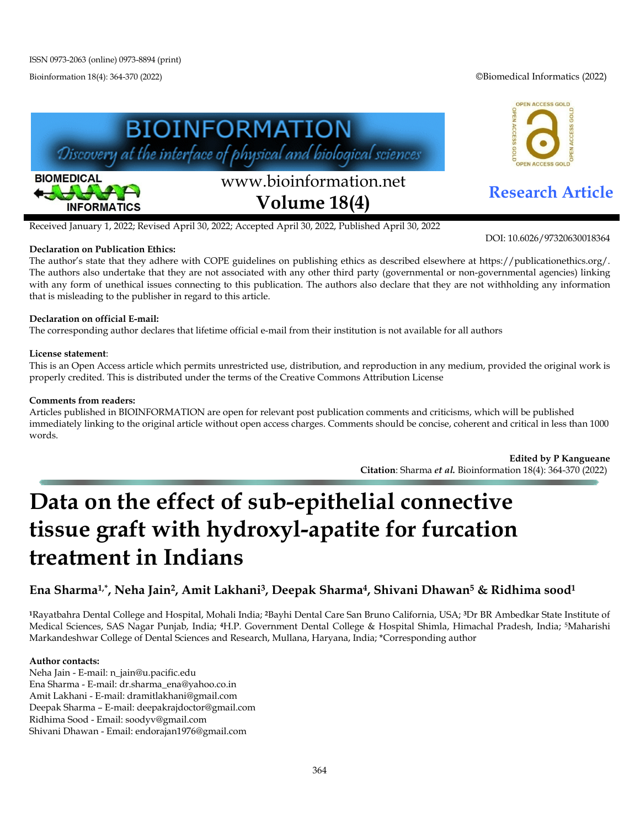Bioinformation 18(4): 364-370 (2022) ©Biomedical Informatics (2022)

OPEN ACCESS GOLD

**ACCESS** 





# www.bioinformation.net **Research Article Volume 18(4)**

Received January 1, 2022; Revised April 30, 2022; Accepted April 30, 2022, Published April 30, 2022

#### **Declaration on Publication Ethics:**

The author's state that they adhere with COPE guidelines on publishing ethics as described elsewhere at https://publicationethics.org/. The authors also undertake that they are not associated with any other third party (governmental or non-governmental agencies) linking with any form of unethical issues connecting to this publication. The authors also declare that they are not withholding any information that is misleading to the publisher in regard to this article.

### **Declaration on official E-mail:**

The corresponding author declares that lifetime official e-mail from their institution is not available for all authors

#### **License statement**:

This is an Open Access article which permits unrestricted use, distribution, and reproduction in any medium, provided the original work is properly credited. This is distributed under the terms of the Creative Commons Attribution License

#### **Comments from readers:**

Articles published in BIOINFORMATION are open for relevant post publication comments and criticisms, which will be published immediately linking to the original article without open access charges. Comments should be concise, coherent and critical in less than 1000 words.

> **Edited by P Kangueane Citation**: Sharma *et al.* Bioinformation 18(4): 364-370 (2022)

# **Data on the effect of sub-epithelial connective tissue graft with hydroxyl-apatite for furcation treatment in Indians**

## **Ena Sharma1,\*, Neha Jain2, Amit Lakhani3, Deepak Sharma4, Shivani Dhawan5 & Ridhima sood1**

**<sup>1</sup>**Rayatbahra Dental College and Hospital, Mohali India; **<sup>2</sup>**Bayhi Dental Care San Bruno California, USA; **3**Dr BR Ambedkar State Institute of Medical Sciences, SAS Nagar Punjab, India; **<sup>4</sup>**H.P. Government Dental College & Hospital Shimla, Himachal Pradesh, India; 5Maharishi Markandeshwar College of Dental Sciences and Research, Mullana, Haryana, India; \*Corresponding author

#### **Author contacts:**

Neha Jain - E-mail: n\_jain@u.pacific.edu Ena Sharma - E-mail: dr.sharma\_ena@yahoo.co.in Amit Lakhani - E-mail: dramitlakhani@gmail.com Deepak Sharma – E-mail: deepakrajdoctor@gmail.com Ridhima Sood - Email: soodyv@gmail.com Shivani Dhawan - Email: endorajan1976@gmail.com

DOI: 10.6026/97320630018364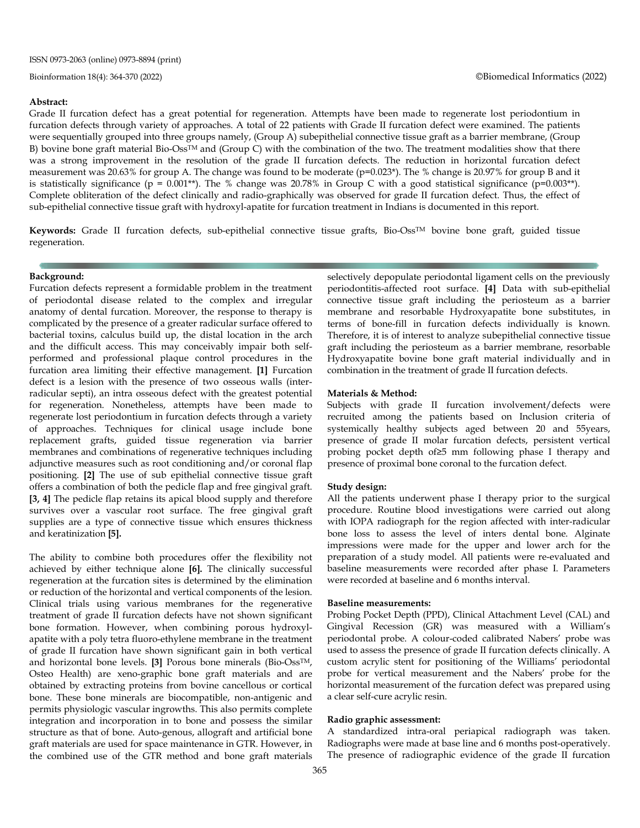#### **Abstract:**

Grade II furcation defect has a great potential for regeneration. Attempts have been made to regenerate lost periodontium in furcation defects through variety of approaches. A total of 22 patients with Grade II furcation defect were examined. The patients were sequentially grouped into three groups namely, (Group A) subepithelial connective tissue graft as a barrier membrane, (Group B) bovine bone graft material Bio-Oss<sup>TM</sup> and (Group C) with the combination of the two. The treatment modalities show that there was a strong improvement in the resolution of the grade II furcation defects. The reduction in horizontal furcation defect measurement was 20.63% for group A. The change was found to be moderate (p=0.023\*). The % change is 20.97% for group B and it is statistically significance ( $p = 0.001**$ ). The % change was 20.78% in Group C with a good statistical significance ( $p=0.003**$ ). Complete obliteration of the defect clinically and radio-graphically was observed for grade II furcation defect. Thus, the effect of sub-epithelial connective tissue graft with hydroxyl-apatite for furcation treatment in Indians is documented in this report.

Keywords: Grade II furcation defects, sub-epithelial connective tissue grafts, Bio-Oss<sup>TM</sup> bovine bone graft, guided tissue regeneration.

#### **Background:**

Furcation defects represent a formidable problem in the treatment of periodontal disease related to the complex and irregular anatomy of dental furcation. Moreover, the response to therapy is complicated by the presence of a greater radicular surface offered to bacterial toxins, calculus build up, the distal location in the arch and the difficult access. This may conceivably impair both selfperformed and professional plaque control procedures in the furcation area limiting their effective management. **[1]** Furcation defect is a lesion with the presence of two osseous walls (interradicular septi), an intra osseous defect with the greatest potential for regeneration. Nonetheless, attempts have been made to regenerate lost periodontium in furcation defects through a variety of approaches. Techniques for clinical usage include bone replacement grafts, guided tissue regeneration via barrier membranes and combinations of regenerative techniques including adjunctive measures such as root conditioning and/or coronal flap positioning. **[2]** The use of sub epithelial connective tissue graft offers a combination of both the pedicle flap and free gingival graft. **[3, 4]** The pedicle flap retains its apical blood supply and therefore survives over a vascular root surface. The free gingival graft supplies are a type of connective tissue which ensures thickness and keratinization **[5].**

The ability to combine both procedures offer the flexibility not achieved by either technique alone **[6].** The clinically successful regeneration at the furcation sites is determined by the elimination or reduction of the horizontal and vertical components of the lesion. Clinical trials using various membranes for the regenerative treatment of grade II furcation defects have not shown significant bone formation. However, when combining porous hydroxylapatite with a poly tetra fluoro-ethylene membrane in the treatment of grade II furcation have shown significant gain in both vertical and horizontal bone levels. **[3]** Porous bone minerals (Bio-OssTM, Osteo Health) are xeno-graphic bone graft materials and are obtained by extracting proteins from bovine cancellous or cortical bone. These bone minerals are biocompatible, non-antigenic and permits physiologic vascular ingrowths. This also permits complete integration and incorporation in to bone and possess the similar structure as that of bone. Auto-genous, allograft and artificial bone graft materials are used for space maintenance in GTR. However, in the combined use of the GTR method and bone graft materials selectively depopulate periodontal ligament cells on the previously periodontitis-affected root surface. **[4]** Data with sub-epithelial connective tissue graft including the periosteum as a barrier membrane and resorbable Hydroxyapatite bone substitutes, in terms of bone-fill in furcation defects individually is known. Therefore, it is of interest to analyze subepithelial connective tissue graft including the periosteum as a barrier membrane, resorbable Hydroxyapatite bovine bone graft material individually and in combination in the treatment of grade II furcation defects.

#### **Materials & Method:**

Subjects with grade II furcation involvement/defects were recruited among the patients based on Inclusion criteria of systemically healthy subjects aged between 20 and 55years, presence of grade II molar furcation defects, persistent vertical probing pocket depth of≥5 mm following phase I therapy and presence of proximal bone coronal to the furcation defect.

#### **Study design:**

All the patients underwent phase I therapy prior to the surgical procedure. Routine blood investigations were carried out along with IOPA radiograph for the region affected with inter-radicular bone loss to assess the level of inters dental bone. Alginate impressions were made for the upper and lower arch for the preparation of a study model. All patients were re-evaluated and baseline measurements were recorded after phase I. Parameters were recorded at baseline and 6 months interval.

#### **Baseline measurements:**

Probing Pocket Depth (PPD), Clinical Attachment Level (CAL) and Gingival Recession (GR) was measured with a William's periodontal probe. A colour-coded calibrated Nabers' probe was used to assess the presence of grade II furcation defects clinically. A custom acrylic stent for positioning of the Williams' periodontal probe for vertical measurement and the Nabers' probe for the horizontal measurement of the furcation defect was prepared using a clear self-cure acrylic resin.

#### **Radio graphic assessment:**

A standardized intra-oral periapical radiograph was taken. Radiographs were made at base line and 6 months post-operatively. The presence of radiographic evidence of the grade II furcation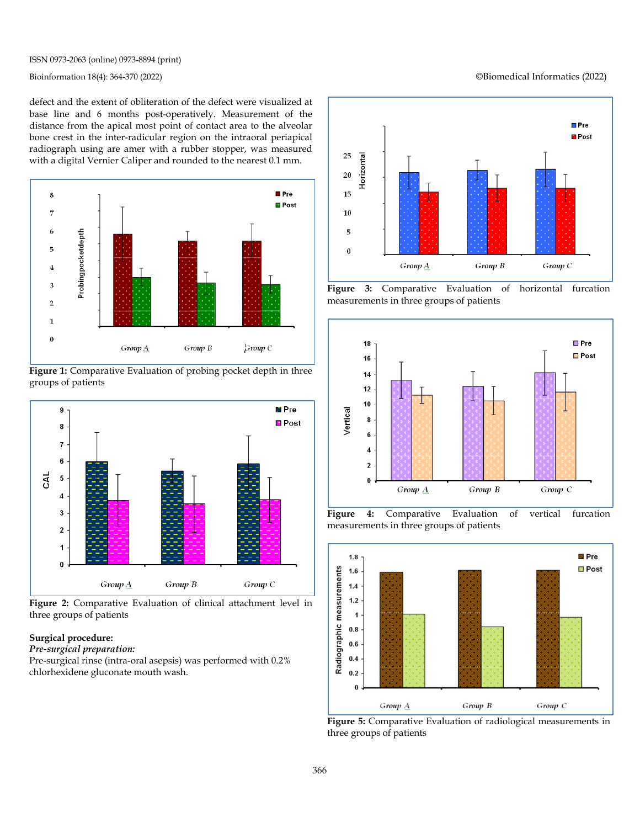ISSN 0973-2063 (online) 0973-8894 (print)

defect and the extent of obliteration of the defect were visualized at base line and 6 months post-operatively. Measurement of the distance from the apical most point of contact area to the alveolar bone crest in the inter-radicular region on the intraoral periapical radiograph using are amer with a rubber stopper, was measured with a digital Vernier Caliper and rounded to the nearest 0.1 mm.



**Figure 1:** Comparative Evaluation of probing pocket depth in three groups of patients



**Figure 2:** Comparative Evaluation of clinical attachment level in three groups of patients

#### **Surgical procedure:**

#### *Pre-surgical preparation:*

Pre-surgical rinse (intra-oral asepsis) was performed with 0.2% chlorhexidene gluconate mouth wash.



**Figure 3:** Comparative Evaluation of horizontal furcation measurements in three groups of patients



**Figure 4:** Comparative Evaluation of vertical furcation measurements in three groups of patients



**Figure 5:** Comparative Evaluation of radiological measurements in three groups of patients

Bioinformation 18(4): 364-370 (2022) ©Biomedical Informatics (2022)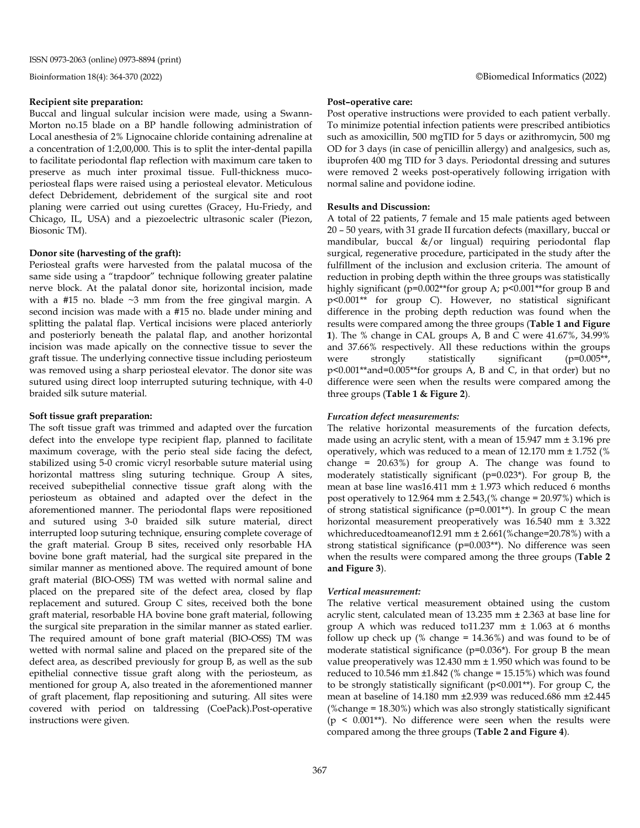#### **Recipient site preparation:**

Buccal and lingual sulcular incision were made, using a Swann-Morton no.15 blade on a BP handle following administration of Local anesthesia of 2% Lignocaine chloride containing adrenaline at a concentration of 1:2,00,000. This is to split the inter-dental papilla to facilitate periodontal flap reflection with maximum care taken to preserve as much inter proximal tissue. Full-thickness mucoperiosteal flaps were raised using a periosteal elevator. Meticulous defect Debridement, debridement of the surgical site and root planing were carried out using curettes (Gracey, Hu-Friedy, and Chicago, IL, USA) and a piezoelectric ultrasonic scaler (Piezon, Biosonic TM).

#### **Donor site (harvesting of the graft):**

Periosteal grafts were harvested from the palatal mucosa of the same side using a "trapdoor" technique following greater palatine nerve block. At the palatal donor site, horizontal incision, made with a #15 no. blade  $\sim$ 3 mm from the free gingival margin. A second incision was made with a #15 no. blade under mining and splitting the palatal flap. Vertical incisions were placed anteriorly and posteriorly beneath the palatal flap, and another horizontal incision was made apically on the connective tissue to sever the graft tissue. The underlying connective tissue including periosteum was removed using a sharp periosteal elevator. The donor site was sutured using direct loop interrupted suturing technique, with 4-0 braided silk suture material.

#### **Soft tissue graft preparation:**

The soft tissue graft was trimmed and adapted over the furcation defect into the envelope type recipient flap, planned to facilitate maximum coverage, with the perio steal side facing the defect, stabilized using 5-0 cromic vicryl resorbable suture material using horizontal mattress sling suturing technique. Group A sites, received subepithelial connective tissue graft along with the periosteum as obtained and adapted over the defect in the aforementioned manner. The periodontal flaps were repositioned and sutured using 3-0 braided silk suture material, direct interrupted loop suturing technique, ensuring complete coverage of the graft material. Group B sites, received only resorbable HA bovine bone graft material, had the surgical site prepared in the similar manner as mentioned above. The required amount of bone graft material (BIO-OSS) TM was wetted with normal saline and placed on the prepared site of the defect area, closed by flap replacement and sutured. Group C sites, received both the bone graft material, resorbable HA bovine bone graft material, following the surgical site preparation in the similar manner as stated earlier. The required amount of bone graft material (BIO-OSS) TM was wetted with normal saline and placed on the prepared site of the defect area, as described previously for group B, as well as the sub epithelial connective tissue graft along with the periosteum, as mentioned for group A, also treated in the aforementioned manner of graft placement, flap repositioning and suturing. All sites were covered with period on taldressing (CoePack).Post-operative instructions were given.

#### **Post–operative care:**

Post operative instructions were provided to each patient verbally. To minimize potential infection patients were prescribed antibiotics such as amoxicillin, 500 mgTID for 5 days or azithromycin, 500 mg OD for 3 days (in case of penicillin allergy) and analgesics, such as, ibuprofen 400 mg TID for 3 days. Periodontal dressing and sutures were removed 2 weeks post-operatively following irrigation with normal saline and povidone iodine.

#### **Results and Discussion:**

A total of 22 patients, 7 female and 15 male patients aged between 20 – 50 years, with 31 grade II furcation defects (maxillary, buccal or mandibular, buccal &/or lingual) requiring periodontal flap surgical, regenerative procedure, participated in the study after the fulfillment of the inclusion and exclusion criteria. The amount of reduction in probing depth within the three groups was statistically highly significant (p=0.002\*\*for group A; p<0.001\*\*for group B and p<0.001\*\* for group C). However, no statistical significant difference in the probing depth reduction was found when the results were compared among the three groups (**Table 1 and Figure 1**). The % change in CAL groups A, B and C were 41.67%, 34.99% and 37.66% respectively. All these reductions within the groups were strongly statistically significant (p=0.005\*\*, p<0.001\*\*and=0.005\*\*for groups A, B and C, in that order) but no difference were seen when the results were compared among the three groups (**Table 1 & Figure 2**).

#### *Furcation defect measurements:*

The relative horizontal measurements of the furcation defects, made using an acrylic stent, with a mean of 15.947 mm ± 3.196 pre operatively, which was reduced to a mean of 12.170 mm ± 1.752 (% change =  $20.63\%$ ) for group A. The change was found to moderately statistically significant (p=0.023\*). For group B, the mean at base line was16.411 mm ± 1.973 which reduced 6 months post operatively to  $12.964$  mm  $\pm 2.543$ ,  $%$  change =  $20.97%$ ) which is of strong statistical significance (p=0.001\*\*). In group C the mean horizontal measurement preoperatively was 16.540 mm ± 3.322 whichreducedtoameanof12.91 mm ± 2.661(%change=20.78%) with a strong statistical significance (p=0.003\*\*). No difference was seen when the results were compared among the three groups (**Table 2 and Figure 3**).

#### *Vertical measurement:*

The relative vertical measurement obtained using the custom acrylic stent, calculated mean of 13.235 mm ± 2.363 at base line for group A which was reduced to11.237 mm ± 1.063 at 6 months follow up check up (% change  $= 14.36\%$ ) and was found to be of moderate statistical significance (p=0.036\*). For group B the mean value preoperatively was 12.430 mm ± 1.950 which was found to be reduced to  $10.546$  mm  $\pm 1.842$  (% change =  $15.15$ %) which was found to be strongly statistically significant (p<0.001\*\*). For group C, the mean at baseline of 14.180 mm ±2.939 was reduced.686 mm ±2.445 (%change = 18.30%) which was also strongly statistically significant ( $p \leq 0.001**$ ). No difference were seen when the results were compared among the three groups (**Table 2 and Figure 4**).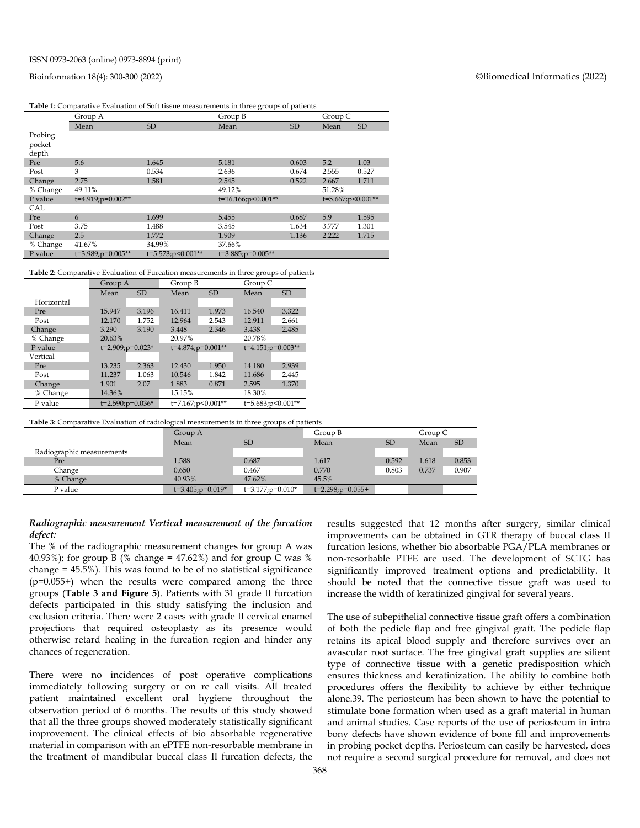#### Bioinformation 18(4): 300-300 (2022) ©Biomedical Informatics (2022)

|  | <b>Table 1:</b> Comparative Evaluation of Soft tissue measurements in three groups of patients |  |  |  |  |
|--|------------------------------------------------------------------------------------------------|--|--|--|--|
|--|------------------------------------------------------------------------------------------------|--|--|--|--|

|                            | Group A           |                      | Group B                 |           | Group C           |           |
|----------------------------|-------------------|----------------------|-------------------------|-----------|-------------------|-----------|
|                            | Mean              | SD                   | Mean                    | <b>SD</b> | Mean              | <b>SD</b> |
| Probing<br>pocket<br>depth |                   |                      |                         |           |                   |           |
| Pre                        | 5.6               | 1.645                | 5.181                   | 0.603     | 5.2               | 1.03      |
| Post                       | 3                 | 0.534                | 2.636                   | 0.674     | 2.555             | 0.527     |
| Change                     | 2.75              | 1.581                | 2.545                   | 0.522     | 2.667             | 1.711     |
| % Change                   | 49.11%            |                      | 49.12%                  |           | 51.28%            |           |
| P value                    | t=4.919;p=0.002** |                      | t=16.166;p<0.001**      |           | t=5.667;p<0.001** |           |
| CAL                        |                   |                      |                         |           |                   |           |
| Pre                        | 6                 | 1.699                | 5.455                   | 0.687     | 5.9               | 1.595     |
| Post                       | 3.75              | 1.488                | 3.545                   | 1.634     | 3.777             | 1.301     |
| Change                     | 2.5               | 1.772                | 1.909                   | 1.136     | 2.222             | 1.715     |
| % Change                   | 41.67%            | 34.99%               | 37.66%                  |           |                   |           |
| P value                    | t=3.989;p=0.005** | $t=5.573; p<0.001**$ | $t=3.885$ ; $p=0.005**$ |           |                   |           |

**Table 2:** Comparative Evaluation of Furcation measurements in three groups of patients

|            | Group A                |           | Group B                 |                   | Group C |                         |  |
|------------|------------------------|-----------|-------------------------|-------------------|---------|-------------------------|--|
|            | Mean                   | <b>SD</b> | Mean                    | <b>SD</b>         | Mean    | <b>SD</b>               |  |
| Horizontal |                        |           |                         |                   |         |                         |  |
| Pre        | 15.947                 | 3.196     | 16.411                  | 1.973             | 16.540  | 3.322                   |  |
| Post       | 12.170                 | 1.752     | 12.964                  | 2.543             | 12.911  | 2.661                   |  |
| Change     | 3.290                  | 3.190     | 3.448                   | 2.346             | 3.438   | 2.485                   |  |
| % Change   | 20.63%                 |           | 20.97%                  |                   | 20.78%  |                         |  |
| P value    | $t=2.909$ ; $p=0.023*$ |           | $t=4.874$ ; $p=0.001**$ |                   |         | $t=4.151$ ; $p=0.003**$ |  |
| Vertical   |                        |           |                         |                   |         |                         |  |
| Pre        | 13.235                 | 2.363     | 12.430                  | 1.950             | 14.180  | 2.939                   |  |
| Post       | 11.237                 | 1.063     | 10.546                  | 1.842             | 11.686  | 2.445                   |  |
| Change     | 1.901                  | 2.07      | 1.883                   | 0.871             | 2.595   | 1.370                   |  |
| % Change   | 14.36%                 |           | 15.15%                  |                   | 18.30%  |                         |  |
| P value    | $t=2.590; p=0.036*$    |           |                         | t=7.167;p<0.001** |         | t=5.683;p<0.001**       |  |

#### **Table 3:** Comparative Evaluation of radiological measurements in three groups of patients

|                           | Group A                |                        | Group B                |           | Group C |           |
|---------------------------|------------------------|------------------------|------------------------|-----------|---------|-----------|
|                           | Mean                   | SD                     | Mean                   | <b>SD</b> | Mean    | <b>SD</b> |
| Radiographic measurements |                        |                        |                        |           |         |           |
| Pre                       | 1.588                  | 0.687                  | 1.617                  | 0.592     | 1.618   | 0.853     |
| Change                    | 0.650                  | 0.467                  | 0.770                  | 0.803     | 0.737   | 0.907     |
| % Change                  | 40.93%                 | 47.62%                 | 45.5%                  |           |         |           |
| P value                   | $t=3.405$ ; $p=0.019*$ | $t=3.177$ ; $p=0.010*$ | $t=2.298$ ; $p=0.055+$ |           |         |           |

#### *Radiographic measurement Vertical measurement of the furcation defect:*

The % of the radiographic measurement changes for group A was 40.93%); for group B (% change = 47.62%) and for group C was % change = 45.5%). This was found to be of no statistical significance (p=0.055+) when the results were compared among the three groups (**Table 3 and Figure 5**). Patients with 31 grade II furcation defects participated in this study satisfying the inclusion and exclusion criteria. There were 2 cases with grade II cervical enamel projections that required osteoplasty as its presence would otherwise retard healing in the furcation region and hinder any chances of regeneration.

There were no incidences of post operative complications immediately following surgery or on re call visits. All treated patient maintained excellent oral hygiene throughout the observation period of 6 months. The results of this study showed that all the three groups showed moderately statistically significant improvement. The clinical effects of bio absorbable regenerative material in comparison with an ePTFE non-resorbable membrane in the treatment of mandibular buccal class II furcation defects, the results suggested that 12 months after surgery, similar clinical improvements can be obtained in GTR therapy of buccal class II furcation lesions, whether bio absorbable PGA/PLA membranes or non-resorbable PTFE are used. The development of SCTG has significantly improved treatment options and predictability. It should be noted that the connective tissue graft was used to increase the width of keratinized gingival for several years.

The use of subepithelial connective tissue graft offers a combination of both the pedicle flap and free gingival graft. The pedicle flap retains its apical blood supply and therefore survives over an avascular root surface. The free gingival graft supplies are silient type of connective tissue with a genetic predisposition which ensures thickness and keratinization. The ability to combine both procedures offers the flexibility to achieve by either technique alone.39. The periosteum has been shown to have the potential to stimulate bone formation when used as a graft material in human and animal studies. Case reports of the use of periosteum in intra bony defects have shown evidence of bone fill and improvements in probing pocket depths. Periosteum can easily be harvested, does not require a second surgical procedure for removal, and does not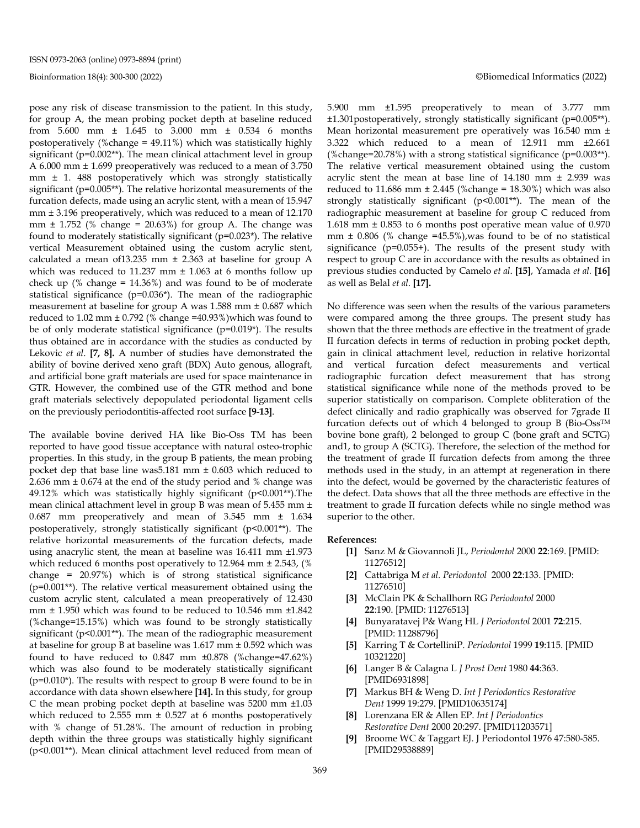pose any risk of disease transmission to the patient. In this study, for group A, the mean probing pocket depth at baseline reduced from 5.600 mm ± 1.645 to 3.000 mm ± 0.534 6 months postoperatively (%change = 49.11%) which was statistically highly significant (p=0.002\*\*). The mean clinical attachment level in group A 6.000 mm ± 1.699 preoperatively was reduced to a mean of 3.750 mm ± 1. 488 postoperatively which was strongly statistically significant (p=0.005\*\*). The relative horizontal measurements of the furcation defects, made using an acrylic stent, with a mean of 15.947 mm ± 3.196 preoperatively, which was reduced to a mean of 12.170 mm  $\pm$  1.752 (% change = 20.63%) for group A. The change was found to moderately statistically significant  $(p=0.023^*)$ . The relative vertical Measurement obtained using the custom acrylic stent, calculated a mean of13.235 mm ± 2.363 at baseline for group A which was reduced to 11.237 mm  $\pm$  1.063 at 6 months follow up check up (% change =  $14.36\%$ ) and was found to be of moderate statistical significance (p=0.036\*). The mean of the radiographic measurement at baseline for group A was 1.588 mm ± 0.687 which reduced to 1.02 mm  $\pm$  0.792 (% change =40.93%)which was found to be of only moderate statistical significance  $(p=0.019^*)$ . The results thus obtained are in accordance with the studies as conducted by Lekovic *et al*. **[7, 8].** A number of studies have demonstrated the ability of bovine derived xeno graft (BDX) Auto genous, allograft, and artificial bone graft materials are used for space maintenance in GTR. However, the combined use of the GTR method and bone graft materials selectively depopulated periodontal ligament cells on the previously periodontitis-affected root surface **[9-13]**.

The available bovine derived HA like Bio-Oss TM has been reported to have good tissue acceptance with natural osteo-trophic properties. In this study, in the group B patients, the mean probing pocket dep that base line was5.181 mm ± 0.603 which reduced to 2.636 mm ± 0.674 at the end of the study period and % change was 49.12% which was statistically highly significant  $(p<0.001**)$ . The mean clinical attachment level in group B was mean of 5.455 mm ± 0.687 mm preoperatively and mean of 3.545 mm ± 1.634 postoperatively, strongly statistically significant (p<0.001\*\*). The relative horizontal measurements of the furcation defects, made using anacrylic stent, the mean at baseline was 16.411 mm ±1.973 which reduced 6 months post operatively to 12.964 mm ± 2.543, (% change = 20.97%) which is of strong statistical significance (p=0.001\*\*). The relative vertical measurement obtained using the custom acrylic stent, calculated a mean preoperatively of 12.430 mm ± 1.950 which was found to be reduced to 10.546 mm ±1.842 (%change=15.15%) which was found to be strongly statistically significant (p<0.001\*\*). The mean of the radiographic measurement at baseline for group B at baseline was 1.617 mm ± 0.592 which was found to have reduced to 0.847 mm ±0.878 (%change=47.62%) which was also found to be moderately statistically significant (p=0.010\*). The results with respect to group B were found to be in accordance with data shown elsewhere **[14].** In this study, for group C the mean probing pocket depth at baseline was 5200 mm ±1.03 which reduced to 2.555 mm  $\pm$  0.527 at 6 months postoperatively with % change of 51.28%. The amount of reduction in probing depth within the three groups was statistically highly significant (p<0.001\*\*). Mean clinical attachment level reduced from mean of 5.900 mm ±1.595 preoperatively to mean of 3.777 mm ±1.301postoperatively, strongly statistically significant (p=0.005\*\*). Mean horizontal measurement pre operatively was 16.540 mm ± 3.322 which reduced to a mean of 12.911 mm ±2.661 (%change=20.78%) with a strong statistical significance ( $p=0.003**$ ). The relative vertical measurement obtained using the custom acrylic stent the mean at base line of 14.180 mm ± 2.939 was reduced to 11.686 mm  $\pm$  2.445 (%change = 18.30%) which was also strongly statistically significant  $(p<0.001**)$ . The mean of the radiographic measurement at baseline for group C reduced from 1.618 mm ± 0.853 to 6 months post operative mean value of 0.970 mm  $\pm$  0.806 (% change =45.5%), was found to be of no statistical significance  $(p=0.055+)$ . The results of the present study with respect to group C are in accordance with the results as obtained in previous studies conducted by Camelo *et al*. **[15]**, Yamada *et al.* **[16]** as well as Belal *et al*. **[17].**

No difference was seen when the results of the various parameters were compared among the three groups. The present study has shown that the three methods are effective in the treatment of grade II furcation defects in terms of reduction in probing pocket depth, gain in clinical attachment level, reduction in relative horizontal and vertical furcation defect measurements and vertical radiographic furcation defect measurement that has strong statistical significance while none of the methods proved to be superior statistically on comparison. Complete obliteration of the defect clinically and radio graphically was observed for 7grade II furcation defects out of which 4 belonged to group B (Bio-Oss<sup>TM</sup> bovine bone graft), 2 belonged to group C (bone graft and SCTG) and1, to group A (SCTG). Therefore, the selection of the method for the treatment of grade II furcation defects from among the three methods used in the study, in an attempt at regeneration in there into the defect, would be governed by the characteristic features of the defect. Data shows that all the three methods are effective in the treatment to grade II furcation defects while no single method was superior to the other.

#### **References:**

- **[1]** Sanz M & Giovannoli JL, *Periodontol* 2000 **22**:169. [PMID: 11276512]
- **[2]** Cattabriga M *et al. Periodontol* 2000 **22**:133. [PMID: 11276510]
- **[3]** McClain PK & Schallhorn RG *Periodontol* 2000 **22**:190. [PMID: 11276513]
- **[4]** Bunyaratavej P& Wang HL *J Periodontol* 2001 **72**:215. [PMID: 11288796]
- **[5]** Karring T & CortelliniP. *Periodontol* 1999 **19**:115. [PMID 10321220]
- **[6]** Langer B & Calagna L *J Prost Dent* 1980 **44**:363. [PMID6931898]
- **[7]** Markus BH & Weng D. *Int J Periodontics Restorative Dent* 1999 19:279. [PMID10635174]
- **[8]** Lorenzana ER & Allen EP. *Int J Periodontics Restorative Dent* 2000 20:297. [PMID11203571]
- **[9]** Broome WC & Taggart EJ. J Periodontol 1976 47:580-585. [PMID29538889]